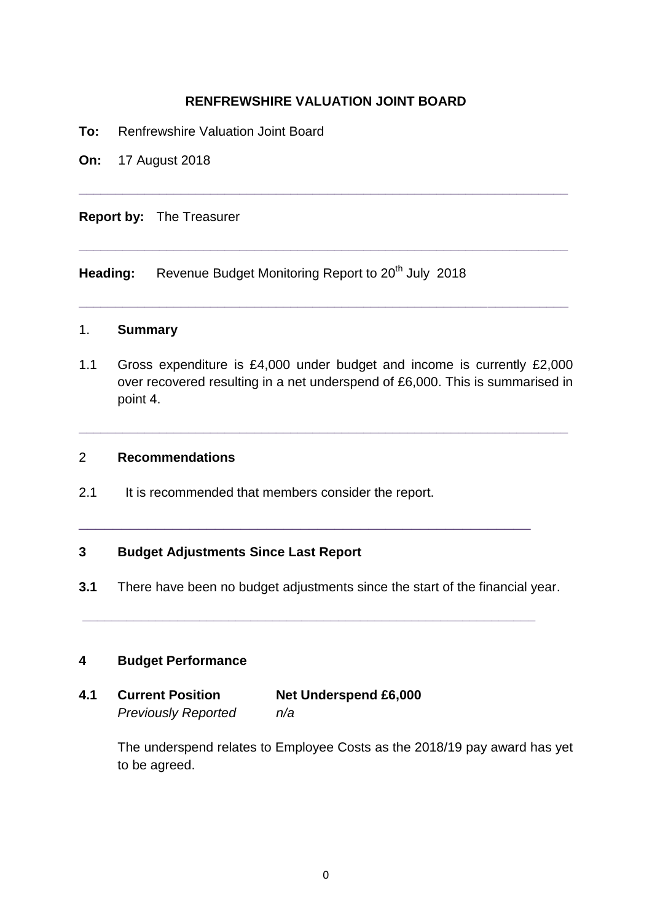## **RENFREWSHIRE VALUATION JOINT BOARD**

**\_\_\_\_\_\_\_\_\_\_\_\_\_\_\_\_\_\_\_\_\_\_\_\_\_\_\_\_\_\_\_\_\_\_\_\_\_\_\_\_\_\_\_\_\_\_\_\_\_\_\_\_\_\_\_\_\_\_\_\_\_\_\_\_\_\_\_**

**\_\_\_\_\_\_\_\_\_\_\_\_\_\_\_\_\_\_\_\_\_\_\_\_\_\_\_\_\_\_\_\_\_\_\_\_\_\_\_\_\_\_\_\_\_\_\_\_\_\_\_\_\_\_\_\_\_\_\_\_\_\_\_\_\_\_\_**

**\_\_\_\_\_\_\_\_\_\_\_\_\_\_\_\_\_\_\_\_\_\_\_\_\_\_\_\_\_\_\_\_\_\_\_\_\_\_\_\_\_\_\_\_\_\_\_\_\_\_\_\_\_\_\_\_\_\_\_\_\_\_\_\_\_\_\_**

- **To:** Renfrewshire Valuation Joint Board
- **On:** 17 August 2018

### **Report by:** The Treasurer

Heading: Revenue Budget Monitoring Report to 20<sup>th</sup> July 2018

# 1. **Summary**

1.1 Gross expenditure is £4,000 under budget and income is currently £2,000 over recovered resulting in a net underspend of £6,000. This is summarised in point 4.

**\_\_\_\_\_\_\_\_\_\_\_\_\_\_\_\_\_\_\_\_\_\_\_\_\_\_\_\_\_\_\_\_\_\_\_\_\_\_\_\_\_\_\_\_\_\_\_\_\_\_\_\_\_\_\_\_\_\_\_\_\_\_\_\_\_\_\_**

### 2 **Recommendations**

2.1 It is recommended that members consider the report.

### **3 Budget Adjustments Since Last Report**

**3.1** There have been no budget adjustments since the start of the financial year.

**\_\_\_\_\_\_\_\_\_\_\_\_\_\_\_\_\_\_\_\_\_\_\_\_\_\_\_\_\_\_\_\_\_\_\_\_\_\_\_\_\_\_\_\_\_\_\_\_\_\_\_\_\_\_\_\_\_\_\_\_\_\_**

\_\_\_\_\_\_\_\_\_\_\_\_\_\_\_\_\_\_\_\_\_\_\_\_\_\_\_\_\_\_\_\_\_\_\_\_\_\_\_\_\_\_\_\_\_\_\_\_\_\_\_\_\_

#### **4 Budget Performance**

| 4.1 | <b>Current Position</b>    | <b>Net Underspend £6,000</b> |
|-----|----------------------------|------------------------------|
|     | <b>Previously Reported</b> | n/a                          |

The underspend relates to Employee Costs as the 2018/19 pay award has yet to be agreed.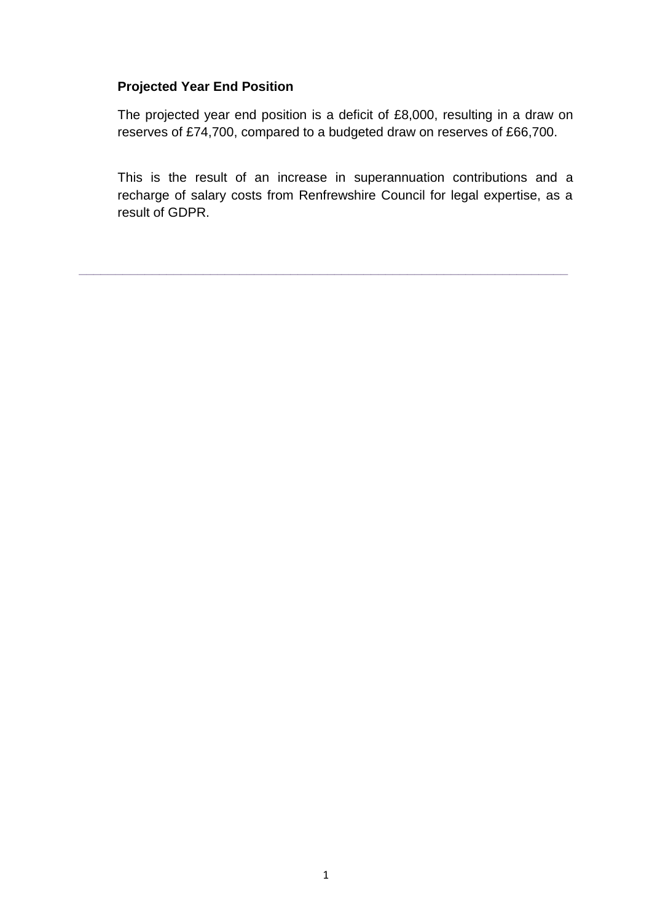# **Projected Year End Position**

The projected year end position is a deficit of £8,000, resulting in a draw on reserves of £74,700, compared to a budgeted draw on reserves of £66,700.

This is the result of an increase in superannuation contributions and a recharge of salary costs from Renfrewshire Council for legal expertise, as a result of GDPR.

**\_\_\_\_\_\_\_\_\_\_\_\_\_\_\_\_\_\_\_\_\_\_\_\_\_\_\_\_\_\_\_\_\_\_\_\_\_\_\_\_\_\_\_\_\_\_\_\_\_\_\_\_\_\_\_\_\_\_\_\_\_\_\_\_\_\_\_**